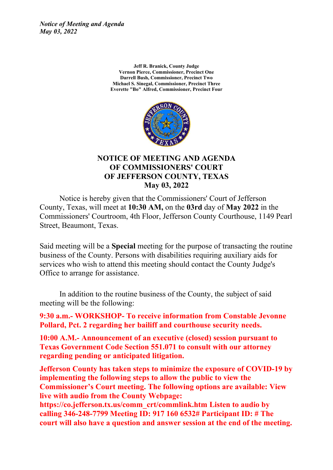*Notice of Meeting and Agenda May 03, 2022*

> **Jeff R. Branick, County Judge Vernon Pierce, Commissioner, Precinct One Darrell Bush, Commissioner, Precinct Two Michael S. Sinegal, Commissioner, Precinct Three Everette "Bo" Alfred, Commissioner, Precinct Four**



#### **NOTICE OF MEETING AND AGENDA OF COMMISSIONERS' COURT OF JEFFERSON COUNTY, TEXAS May 03, 2022**

Notice is hereby given that the Commissioners' Court of Jefferson County, Texas, will meet at **10:30 AM,** on the **03rd** day of **May 2022** in the Commissioners' Courtroom, 4th Floor, Jefferson County Courthouse, 1149 Pearl Street, Beaumont, Texas.

Said meeting will be a **Special** meeting for the purpose of transacting the routine business of the County. Persons with disabilities requiring auxiliary aids for services who wish to attend this meeting should contact the County Judge's Office to arrange for assistance.

In addition to the routine business of the County, the subject of said meeting will be the following:

**9:30 a.m.- WORKSHOP- To receive information from Constable Jevonne Pollard, Pct. 2 regarding her bailiff and courthouse security needs.**

**10:00 A.M.- Announcement of an executive (closed) session pursuant to Texas Government Code Section 551.071 to consult with our attorney regarding pending or anticipated litigation.**

**Jefferson County has taken steps to minimize the exposure of COVID-19 by implementing the following steps to allow the public to view the Commissioner's Court meeting. The following options are available: View live with audio from the County Webpage:**

**https://co.jefferson.tx.us/comm\_crt/commlink.htm Listen to audio by calling 346-248-7799 Meeting ID: 917 160 6532# Participant ID: # The court will also have a question and answer session at the end of the meeting.**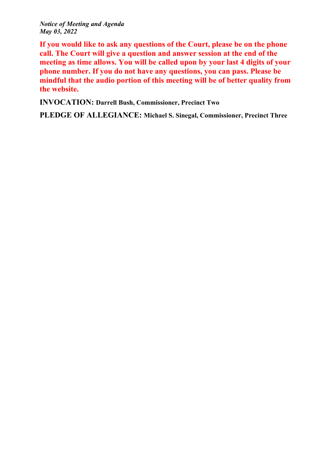*Notice of Meeting and Agenda May 03, 2022*

**If you would like to ask any questions of the Court, please be on the phone call. The Court will give a question and answer session at the end of the meeting as time allows. You will be called upon by your last 4 digits of your phone number. If you do not have any questions, you can pass. Please be mindful that the audio portion of this meeting will be of better quality from the website.**

**INVOCATION: Darrell Bush, Commissioner, Precinct Two**

**PLEDGE OF ALLEGIANCE: Michael S. Sinegal, Commissioner, Precinct Three**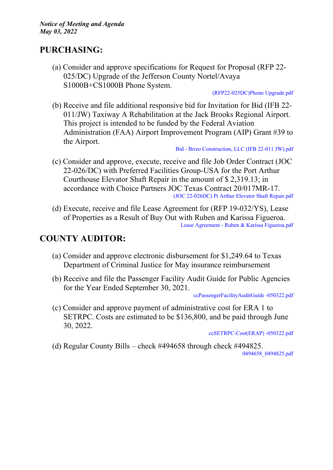### **PURCHASING:**

(a) Consider and approve specifications for Request for Proposal (RFP 22- 025/DC) Upgrade of the Jefferson County Nortel/Avaya S1000B+CS1000B Phone System.

[\(RFP22-025DC\)Phone](http://co.jefferson.tx.us/agenda/agendas_pl/20220503_690/Attachments/%28RFP22-025DC%29Phone%20Upgrade.pdf) Upgrade.pdf

(b) Receive and file additional responsive bid for Invitation for Bid (IFB 22- 011/JW) Taxiway A Rehabilitation at the Jack Brooks Regional Airport. This project is intended to be funded by the Federal Aviation Administration (FAA) Airport Improvement Program (AIP) Grant #39 to the Airport.

Bid - Brizo [Construction,](http://co.jefferson.tx.us/agenda/agendas_pl/20220503_690/Attachments/Bid%20-%20Brizo%20Construction%2C%20LLC%20%28IFB%2022-011%20JW%29.pdf) LLC (IFB 22-011 JW).pdf

- (c) Consider and approve, execute, receive and file Job Order Contract (JOC 22-026/DC) with Preferred Facilities Group-USA for the Port Arthur Courthouse Elevator Shaft Repair in the amount of \$ 2,319.13; in accordance with Choice Partners JOC Texas Contract 20/017MR-17. (JOC [22-026DC\)](http://co.jefferson.tx.us/agenda/agendas_pl/20220503_690/Attachments/%28JOC%2022-026DC%29%20Pt%20Arthur%20Elevator%20Shaft%20Repair.pdf) Pt Arthur Elevator Shaft Repair.pdf
- (d) Execute, receive and file Lease Agreement for (RFP 19-032/YS), Lease of Properties as a Result of Buy Out with Ruben and Karissa Figueroa. Lease Agreement - Ruben & Karissa [Figueroa.pdf](http://co.jefferson.tx.us/agenda/agendas_pl/20220503_690/Attachments/Lease%20Agreement%20-%20Ruben%20%26%20Karissa%20Figueroa.pdf)

## **COUNTY AUDITOR:**

- (a) Consider and approve electronic disbursement for \$1,249.64 to Texas Department of Criminal Justice for May insurance reimbursement
- (b) Receive and file the Passenger Facility Audit Guide for Public Agencies for the Year Ended September 30, 2021.

[ccPassengerFacilityAuditGuide](http://co.jefferson.tx.us/agenda/agendas_pl/20220503_690/Attachments/ccPassengerFacilityAuditGuide%20-050322.pdf) -050322.pdf

(c) Consider and approve payment of administrative cost for ERA 1 to SETRPC. Costs are estimated to be \$136,800, and be paid through June 30, 2022.

[ccSETRPC-Cost\(ERAP\)](http://co.jefferson.tx.us/agenda/agendas_pl/20220503_690/Attachments/ccSETRPC-Cost%28ERAP%29%20%20-050322.pdf) -050322.pdf

(d) Regular County Bills – check #494658 through check #494825. [0494658\\_0494825.pdf](http://co.jefferson.tx.us/agenda/agendas_pl/20220503_690/Attachments/0494658_0494825.pdf)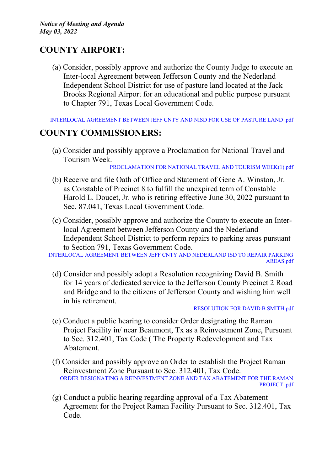# **COUNTY AIRPORT:**

(a) Consider, possibly approve and authorize the County Judge to execute an Inter-local Agreement between Jefferson County and the Nederland Independent School District for use of pasture land located at the Jack Brooks Regional Airport for an educational and public purpose pursuant to Chapter 791, Texas Local Government Code.

[INTERLOCAL](http://co.jefferson.tx.us/agenda/agendas_pl/20220503_690/Attachments/INTERLOCAL%20AGREEMENT%20BETWEEN%20JEFF%20CNTY%20AND%20NISD%20FOR%20USE%20OF%20PASTURE%20LAND%20%20.pdf) AGREEMENT BETWEEN JEFF CNTY AND NISD FOR USE OF PASTURE LAND .pdf

### **COUNTY COMMISSIONERS:**

(a) Consider and possibly approve a Proclamation for National Travel and Tourism Week.

[PROCLAMATION](http://co.jefferson.tx.us/agenda/agendas_pl/20220503_690/Attachments/PROCLAMATION%20FOR%20NATIONAL%20TRAVEL%20AND%20TOURISM%20WEEK%281%29.pdf) FOR NATIONAL TRAVEL AND TOURISM WEEK(1).pdf

- (b) Receive and file Oath of Office and Statement of Gene A. Winston, Jr. as Constable of Precinct 8 to fulfill the unexpired term of Constable Harold L. Doucet, Jr. who is retiring effective June 30, 2022 pursuant to Sec. 87.041, Texas Local Government Code.
- (c) Consider, possibly approve and authorize the County to execute an Interlocal Agreement between Jefferson County and the Nederland Independent School District to perform repairs to parking areas pursuant to Section 791, Texas Government Code.

[INTERLOCAL](http://co.jefferson.tx.us/agenda/agendas_pl/20220503_690/Attachments/INTERLOCAL%20AGREEMENT%20BETWEEN%20JEFF%20CNTY%20AND%20NEDERLAND%20ISD%20TO%20REPAIR%20PARKING%20AREAS.pdf) AGREEMENT BETWEEN JEFF CNTY AND NEDERLAND ISD TO REPAIR PARKING [AREAS.pdf](http://co.jefferson.tx.us/agenda/agendas_pl/20220503_690/Attachments/INTERLOCAL%20AGREEMENT%20BETWEEN%20JEFF%20CNTY%20AND%20NEDERLAND%20ISD%20TO%20REPAIR%20PARKING%20AREAS.pdf)

(d) Consider and possibly adopt a Resolution recognizing David B. Smith for 14 years of dedicated service to the Jefferson County Precinct 2 Road and Bridge and to the citizens of Jefferson County and wishing him well in his retirement.

- (e) Conduct a public hearing to consider Order designating the Raman Project Facility in/ near Beaumont, Tx as a Reinvestment Zone, Pursuant to Sec. 312.401, Tax Code ( The Property Redevelopment and Tax Abatement.
- (f) Consider and possibly approve an Order to establish the Project Raman Reinvestment Zone Pursuant to Sec. 312.401, Tax Code. ORDER DESIGNATING A [REINVESTMENT](http://co.jefferson.tx.us/agenda/agendas_pl/20220503_690/Attachments/ORDER%20DESIGNATING%20A%20REINVESTMENT%20ZONE%20AND%20TAX%20ABATEMENT%20FOR%20THE%20RAMAN%20PROJECT%20.pdf) ZONE AND TAX ABATEMENT FOR THE RAMAN [PROJECT](http://co.jefferson.tx.us/agenda/agendas_pl/20220503_690/Attachments/ORDER%20DESIGNATING%20A%20REINVESTMENT%20ZONE%20AND%20TAX%20ABATEMENT%20FOR%20THE%20RAMAN%20PROJECT%20.pdf) .pdf
- (g) Conduct a public hearing regarding approval of a Tax Abatement Agreement for the Project Raman Facility Pursuant to Sec. 312.401, Tax Code.

[RESOLUTION](http://co.jefferson.tx.us/agenda/agendas_pl/20220503_690/Attachments/RESOLUTION%20FOR%20DAVID%20B%20SMITH.pdf) FOR DAVID B SMITH.pdf